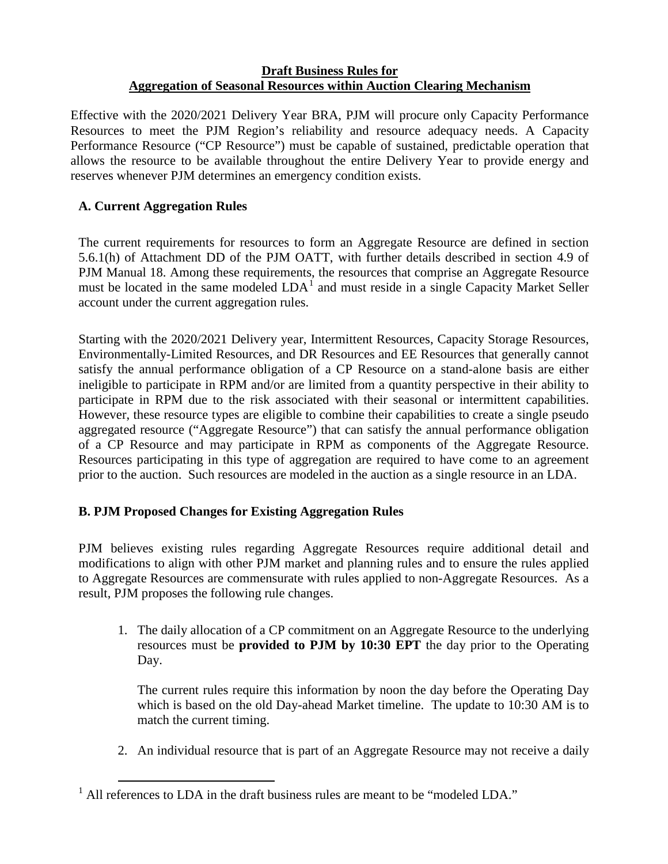## **Draft Business Rules for Aggregation of Seasonal Resources within Auction Clearing Mechanism**

Effective with the 2020/2021 Delivery Year BRA, PJM will procure only Capacity Performance Resources to meet the PJM Region's reliability and resource adequacy needs. A Capacity Performance Resource ("CP Resource") must be capable of sustained, predictable operation that allows the resource to be available throughout the entire Delivery Year to provide energy and reserves whenever PJM determines an emergency condition exists.

## **A. Current Aggregation Rules**

The current requirements for resources to form an Aggregate Resource are defined in section 5.6.1(h) of Attachment DD of the PJM OATT, with further details described in section 4.9 of PJM Manual 18. Among these requirements, the resources that comprise an Aggregate Resource must be located in the same modeled  $LDA<sup>1</sup>$  $LDA<sup>1</sup>$  $LDA<sup>1</sup>$  and must reside in a single Capacity Market Seller account under the current aggregation rules.

Starting with the 2020/2021 Delivery year, Intermittent Resources, Capacity Storage Resources, Environmentally-Limited Resources, and DR Resources and EE Resources that generally cannot satisfy the annual performance obligation of a CP Resource on a stand-alone basis are either ineligible to participate in RPM and/or are limited from a quantity perspective in their ability to participate in RPM due to the risk associated with their seasonal or intermittent capabilities. However, these resource types are eligible to combine their capabilities to create a single pseudo aggregated resource ("Aggregate Resource") that can satisfy the annual performance obligation of a CP Resource and may participate in RPM as components of the Aggregate Resource. Resources participating in this type of aggregation are required to have come to an agreement prior to the auction. Such resources are modeled in the auction as a single resource in an LDA.

## **B. PJM Proposed Changes for Existing Aggregation Rules**

PJM believes existing rules regarding Aggregate Resources require additional detail and modifications to align with other PJM market and planning rules and to ensure the rules applied to Aggregate Resources are commensurate with rules applied to non-Aggregate Resources. As a result, PJM proposes the following rule changes.

1. The daily allocation of a CP commitment on an Aggregate Resource to the underlying resources must be **provided to PJM by 10:30 EPT** the day prior to the Operating Day.

The current rules require this information by noon the day before the Operating Day which is based on the old Day-ahead Market timeline. The update to 10:30 AM is to match the current timing.

2. An individual resource that is part of an Aggregate Resource may not receive a daily

<span id="page-0-0"></span> $1$  All references to LDA in the draft business rules are meant to be "modeled LDA."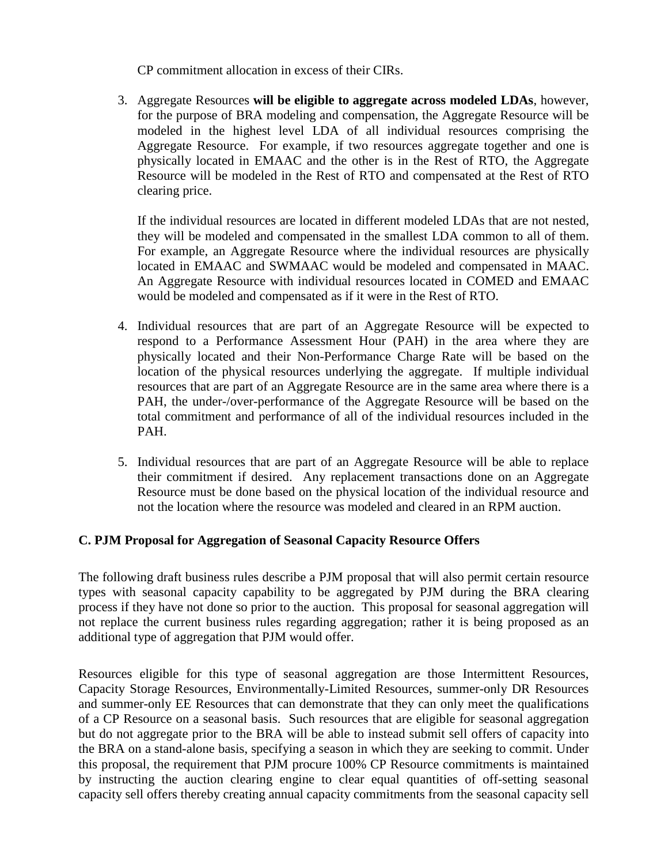CP commitment allocation in excess of their CIRs.

3. Aggregate Resources **will be eligible to aggregate across modeled LDAs**, however, for the purpose of BRA modeling and compensation, the Aggregate Resource will be modeled in the highest level LDA of all individual resources comprising the Aggregate Resource. For example, if two resources aggregate together and one is physically located in EMAAC and the other is in the Rest of RTO, the Aggregate Resource will be modeled in the Rest of RTO and compensated at the Rest of RTO clearing price.

If the individual resources are located in different modeled LDAs that are not nested, they will be modeled and compensated in the smallest LDA common to all of them. For example, an Aggregate Resource where the individual resources are physically located in EMAAC and SWMAAC would be modeled and compensated in MAAC. An Aggregate Resource with individual resources located in COMED and EMAAC would be modeled and compensated as if it were in the Rest of RTO.

- 4. Individual resources that are part of an Aggregate Resource will be expected to respond to a Performance Assessment Hour (PAH) in the area where they are physically located and their Non-Performance Charge Rate will be based on the location of the physical resources underlying the aggregate. If multiple individual resources that are part of an Aggregate Resource are in the same area where there is a PAH, the under-/over-performance of the Aggregate Resource will be based on the total commitment and performance of all of the individual resources included in the PAH.
- 5. Individual resources that are part of an Aggregate Resource will be able to replace their commitment if desired. Any replacement transactions done on an Aggregate Resource must be done based on the physical location of the individual resource and not the location where the resource was modeled and cleared in an RPM auction.

## **C. PJM Proposal for Aggregation of Seasonal Capacity Resource Offers**

The following draft business rules describe a PJM proposal that will also permit certain resource types with seasonal capacity capability to be aggregated by PJM during the BRA clearing process if they have not done so prior to the auction. This proposal for seasonal aggregation will not replace the current business rules regarding aggregation; rather it is being proposed as an additional type of aggregation that PJM would offer.

Resources eligible for this type of seasonal aggregation are those Intermittent Resources, Capacity Storage Resources, Environmentally-Limited Resources, summer-only DR Resources and summer-only EE Resources that can demonstrate that they can only meet the qualifications of a CP Resource on a seasonal basis. Such resources that are eligible for seasonal aggregation but do not aggregate prior to the BRA will be able to instead submit sell offers of capacity into the BRA on a stand-alone basis, specifying a season in which they are seeking to commit. Under this proposal, the requirement that PJM procure 100% CP Resource commitments is maintained by instructing the auction clearing engine to clear equal quantities of off-setting seasonal capacity sell offers thereby creating annual capacity commitments from the seasonal capacity sell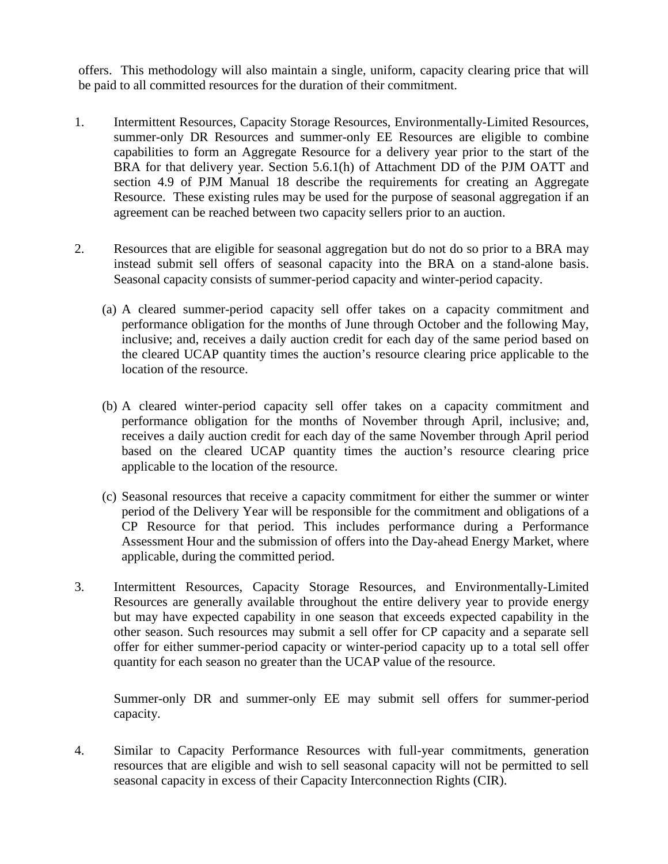offers. This methodology will also maintain a single, uniform, capacity clearing price that will be paid to all committed resources for the duration of their commitment.

- 1. Intermittent Resources, Capacity Storage Resources, Environmentally-Limited Resources, summer-only DR Resources and summer-only EE Resources are eligible to combine capabilities to form an Aggregate Resource for a delivery year prior to the start of the BRA for that delivery year. Section 5.6.1(h) of Attachment DD of the PJM OATT and section 4.9 of PJM Manual 18 describe the requirements for creating an Aggregate Resource. These existing rules may be used for the purpose of seasonal aggregation if an agreement can be reached between two capacity sellers prior to an auction.
- 2. Resources that are eligible for seasonal aggregation but do not do so prior to a BRA may instead submit sell offers of seasonal capacity into the BRA on a stand-alone basis. Seasonal capacity consists of summer-period capacity and winter-period capacity.
	- (a) A cleared summer-period capacity sell offer takes on a capacity commitment and performance obligation for the months of June through October and the following May, inclusive; and, receives a daily auction credit for each day of the same period based on the cleared UCAP quantity times the auction's resource clearing price applicable to the location of the resource.
	- (b) A cleared winter-period capacity sell offer takes on a capacity commitment and performance obligation for the months of November through April, inclusive; and, receives a daily auction credit for each day of the same November through April period based on the cleared UCAP quantity times the auction's resource clearing price applicable to the location of the resource.
	- (c) Seasonal resources that receive a capacity commitment for either the summer or winter period of the Delivery Year will be responsible for the commitment and obligations of a CP Resource for that period. This includes performance during a Performance Assessment Hour and the submission of offers into the Day-ahead Energy Market, where applicable, during the committed period.
- 3. Intermittent Resources, Capacity Storage Resources, and Environmentally-Limited Resources are generally available throughout the entire delivery year to provide energy but may have expected capability in one season that exceeds expected capability in the other season. Such resources may submit a sell offer for CP capacity and a separate sell offer for either summer-period capacity or winter-period capacity up to a total sell offer quantity for each season no greater than the UCAP value of the resource.

Summer-only DR and summer-only EE may submit sell offers for summer-period capacity.

4. Similar to Capacity Performance Resources with full-year commitments, generation resources that are eligible and wish to sell seasonal capacity will not be permitted to sell seasonal capacity in excess of their Capacity Interconnection Rights (CIR).